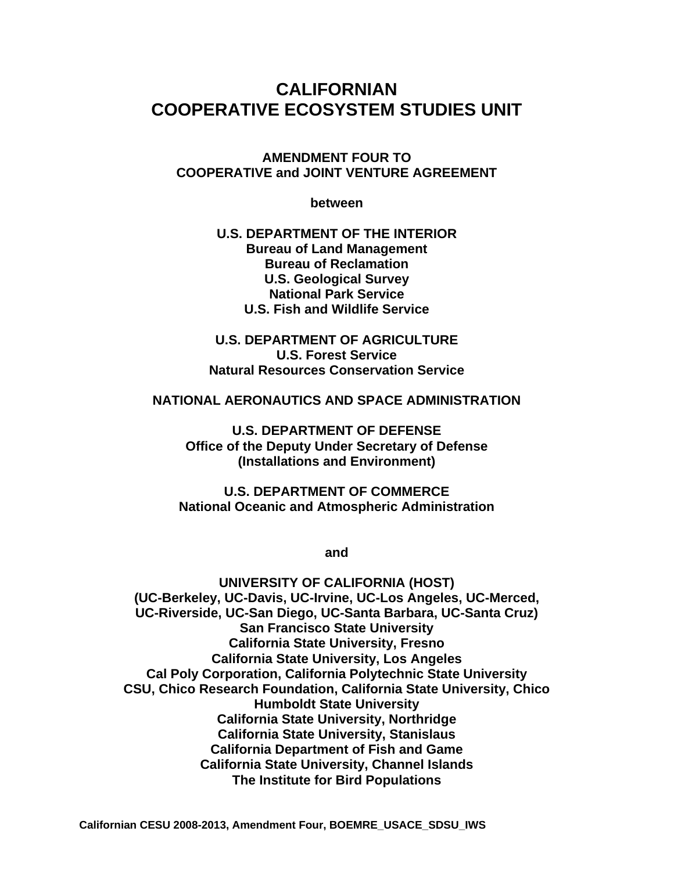# **CALIFORNIAN COOPERATIVE ECOSYSTEM STUDIES UNIT**

**AMENDMENT FOUR TO COOPERATIVE and JOINT VENTURE AGREEMENT**

**between** 

**U.S. DEPARTMENT OF THE INTERIOR Bureau of Land Management Bureau of Reclamation U.S. Geological Survey National Park Service U.S. Fish and Wildlife Service** 

**U.S. DEPARTMENT OF AGRICULTURE U.S. Forest Service Natural Resources Conservation Service** 

**NATIONAL AERONAUTICS AND SPACE ADMINISTRATION** 

**U.S. DEPARTMENT OF DEFENSE Office of the Deputy Under Secretary of Defense (Installations and Environment)** 

**U.S. DEPARTMENT OF COMMERCE National Oceanic and Atmospheric Administration** 

**and** 

**UNIVERSITY OF CALIFORNIA (HOST) (UC-Berkeley, UC-Davis, UC-Irvine, UC-Los Angeles, UC-Merced, UC-Riverside, UC-San Diego, UC-Santa Barbara, UC-Santa Cruz) San Francisco State University California State University, Fresno California State University, Los Angeles Cal Poly Corporation, California Polytechnic State University CSU, Chico Research Foundation, California State University, Chico Humboldt State University California State University, Northridge California State University, Stanislaus California Department of Fish and Game California State University, Channel Islands The Institute for Bird Populations**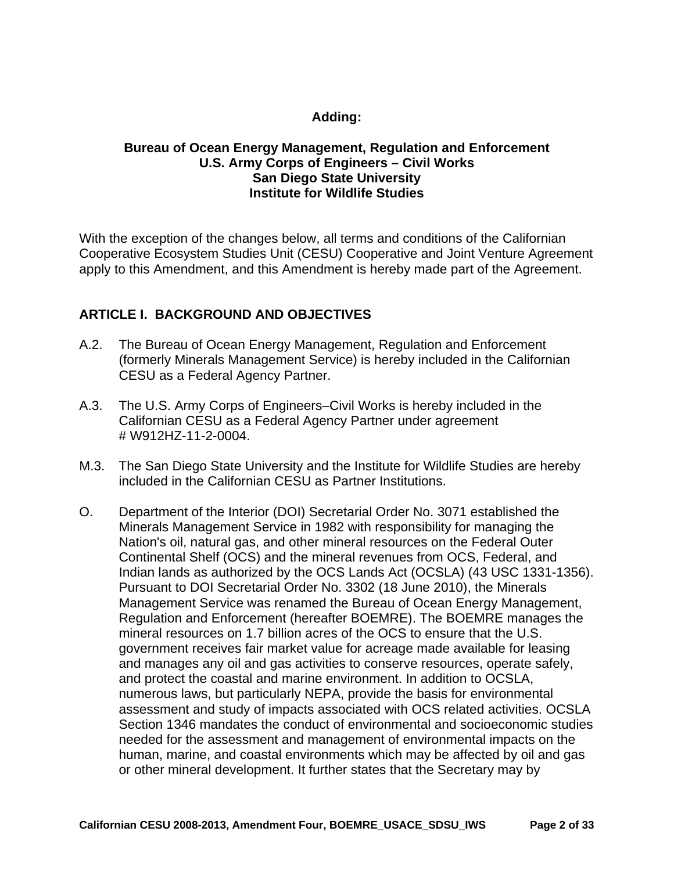# **Adding:**

#### **Bureau of Ocean Energy Management, Regulation and Enforcement U.S. Army Corps of Engineers – Civil Works San Diego State University Institute for Wildlife Studies**

With the exception of the changes below, all terms and conditions of the Californian Cooperative Ecosystem Studies Unit (CESU) Cooperative and Joint Venture Agreement apply to this Amendment, and this Amendment is hereby made part of the Agreement.

# **ARTICLE I. BACKGROUND AND OBJECTIVES**

- A.2. The Bureau of Ocean Energy Management, Regulation and Enforcement (formerly Minerals Management Service) is hereby included in the Californian CESU as a Federal Agency Partner.
- A.3. The U.S. Army Corps of Engineers–Civil Works is hereby included in the Californian CESU as a Federal Agency Partner under agreement # W912HZ-11-2-0004.
- M.3. The San Diego State University and the Institute for Wildlife Studies are hereby included in the Californian CESU as Partner Institutions.
- O. Department of the Interior (DOI) Secretarial Order No. 3071 established the Minerals Management Service in 1982 with responsibility for managing the Nation's oil, natural gas, and other mineral resources on the Federal Outer Continental Shelf (OCS) and the mineral revenues from OCS, Federal, and Indian lands as authorized by the OCS Lands Act (OCSLA) (43 USC 1331-1356). Pursuant to DOI Secretarial Order No. 3302 (18 June 2010), the Minerals Management Service was renamed the Bureau of Ocean Energy Management, Regulation and Enforcement (hereafter BOEMRE). The BOEMRE manages the mineral resources on 1.7 billion acres of the OCS to ensure that the U.S. government receives fair market value for acreage made available for leasing and manages any oil and gas activities to conserve resources, operate safely, and protect the coastal and marine environment. In addition to OCSLA, numerous laws, but particularly NEPA, provide the basis for environmental assessment and study of impacts associated with OCS related activities. OCSLA Section 1346 mandates the conduct of environmental and socioeconomic studies needed for the assessment and management of environmental impacts on the human, marine, and coastal environments which may be affected by oil and gas or other mineral development. It further states that the Secretary may by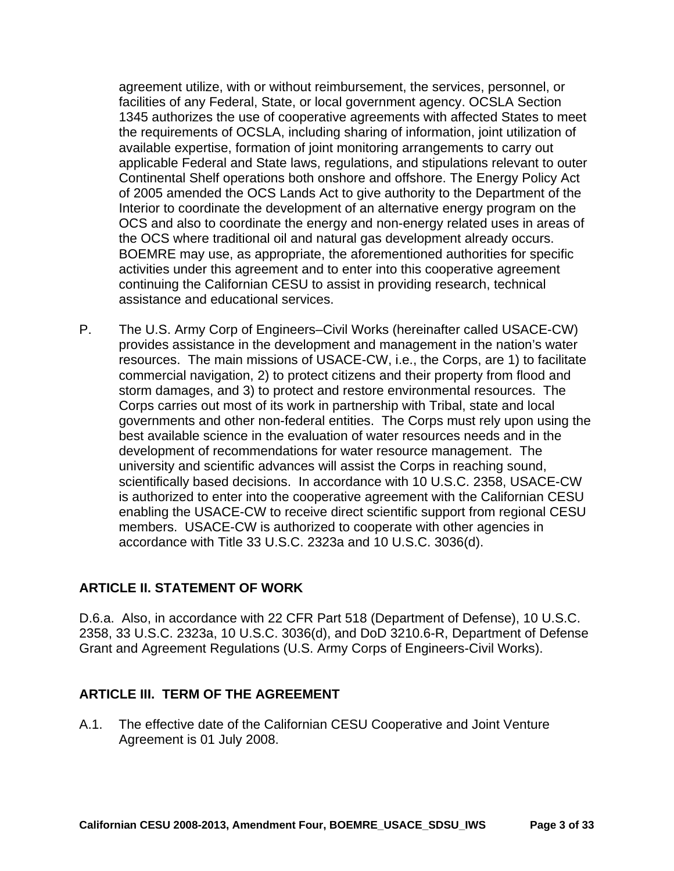agreement utilize, with or without reimbursement, the services, personnel, or facilities of any Federal, State, or local government agency. OCSLA Section 1345 authorizes the use of cooperative agreements with affected States to meet the requirements of OCSLA, including sharing of information, joint utilization of available expertise, formation of joint monitoring arrangements to carry out applicable Federal and State laws, regulations, and stipulations relevant to outer Continental Shelf operations both onshore and offshore. The Energy Policy Act of 2005 amended the OCS Lands Act to give authority to the Department of the Interior to coordinate the development of an alternative energy program on the OCS and also to coordinate the energy and non-energy related uses in areas of the OCS where traditional oil and natural gas development already occurs. BOEMRE may use, as appropriate, the aforementioned authorities for specific activities under this agreement and to enter into this cooperative agreement continuing the Californian CESU to assist in providing research, technical assistance and educational services.

P. The U.S. Army Corp of Engineers–Civil Works (hereinafter called USACE-CW) provides assistance in the development and management in the nation's water resources. The main missions of USACE-CW, i.e., the Corps, are 1) to facilitate commercial navigation, 2) to protect citizens and their property from flood and storm damages, and 3) to protect and restore environmental resources. The Corps carries out most of its work in partnership with Tribal, state and local governments and other non-federal entities. The Corps must rely upon using the best available science in the evaluation of water resources needs and in the development of recommendations for water resource management. The university and scientific advances will assist the Corps in reaching sound, scientifically based decisions. In accordance with 10 U.S.C. 2358, USACE-CW is authorized to enter into the cooperative agreement with the Californian CESU enabling the USACE-CW to receive direct scientific support from regional CESU members. USACE-CW is authorized to cooperate with other agencies in accordance with Title 33 U.S.C. 2323a and 10 U.S.C. 3036(d).

#### **ARTICLE II. STATEMENT OF WORK**

D.6.a. Also, in accordance with 22 CFR Part 518 (Department of Defense), 10 U.S.C. 2358, 33 U.S.C. 2323a, 10 U.S.C. 3036(d), and DoD 3210.6-R, Department of Defense Grant and Agreement Regulations (U.S. Army Corps of Engineers-Civil Works).

#### **ARTICLE III. TERM OF THE AGREEMENT**

A.1. The effective date of the Californian CESU Cooperative and Joint Venture Agreement is 01 July 2008.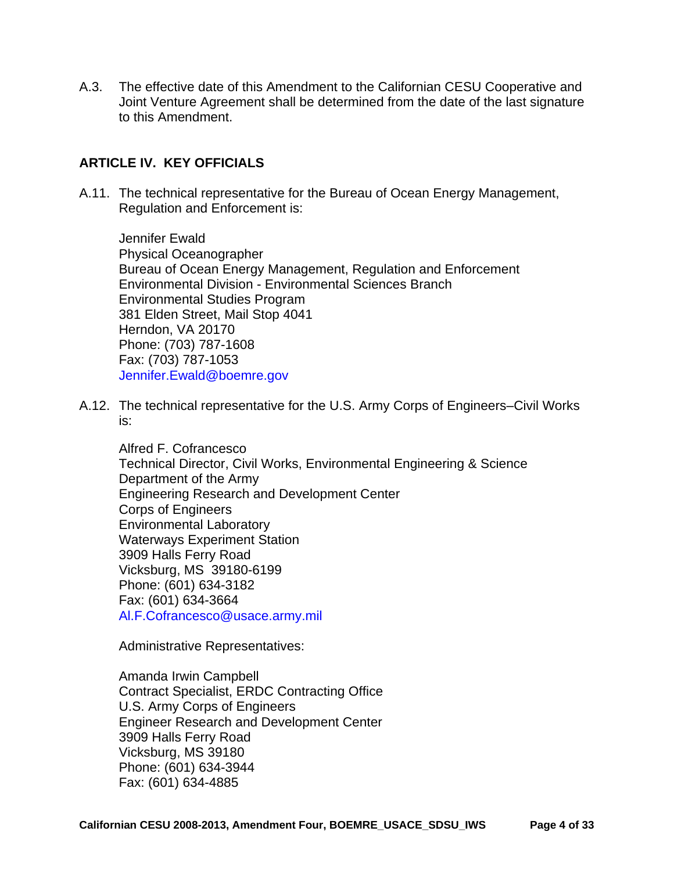A.3. The effective date of this Amendment to the Californian CESU Cooperative and Joint Venture Agreement shall be determined from the date of the last signature to this Amendment.

#### **ARTICLE IV. KEY OFFICIALS**

A.11. The technical representative for the Bureau of Ocean Energy Management, Regulation and Enforcement is:

Jennifer Ewald Physical Oceanographer Bureau of Ocean Energy Management, Regulation and Enforcement Environmental Division - Environmental Sciences Branch Environmental Studies Program 381 Elden Street, Mail Stop 4041 Herndon, VA 20170 Phone: (703) 787-1608 Fax: (703) 787-1053 Jennifer.Ewald@boemre.gov

A.12. The technical representative for the U.S. Army Corps of Engineers–Civil Works is:

Alfred F. Cofrancesco Technical Director, Civil Works, Environmental Engineering & Science Department of the Army Engineering Research and Development Center Corps of Engineers Environmental Laboratory Waterways Experiment Station 3909 Halls Ferry Road Vicksburg, MS 39180-6199 Phone: (601) 634-3182 Fax: (601) 634-3664 Al.F.Cofrancesco@usace.army.mil

Administrative Representatives:

Amanda Irwin Campbell Contract Specialist, ERDC Contracting Office U.S. Army Corps of Engineers Engineer Research and Development Center 3909 Halls Ferry Road Vicksburg, MS 39180 Phone: (601) 634-3944 Fax: (601) 634-4885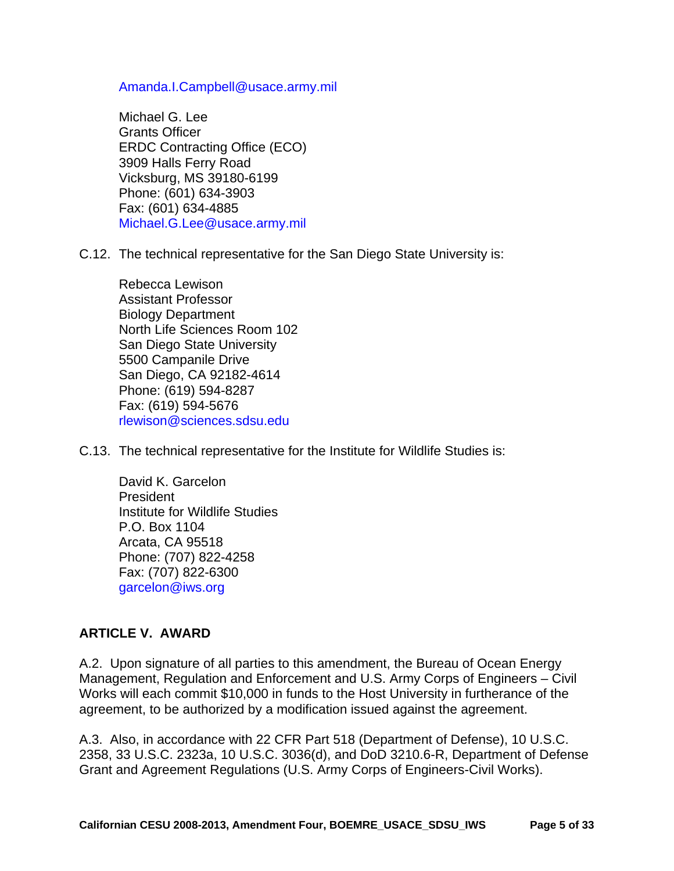Amanda.I.Campbell@usace.army.mil

Michael G. Lee Grants Officer ERDC Contracting Office (ECO) 3909 Halls Ferry Road Vicksburg, MS 39180-6199 Phone: (601) 634-3903 Fax: (601) 634-4885 Michael.G.Lee@usace.army.mil

C.12. The technical representative for the San Diego State University is:

Rebecca Lewison Assistant Professor Biology Department North Life Sciences Room 102 San Diego State University 5500 Campanile Drive San Diego, CA 92182-4614 Phone: (619) 594-8287 Fax: (619) 594-5676 rlewison@sciences.sdsu.edu

C.13. The technical representative for the Institute for Wildlife Studies is:

David K. Garcelon President Institute for Wildlife Studies P.O. Box 1104 Arcata, CA 95518 Phone: (707) 822-4258 Fax: (707) 822-6300 garcelon@iws.org

#### **ARTICLE V. AWARD**

A.2. Upon signature of all parties to this amendment, the Bureau of Ocean Energy Management, Regulation and Enforcement and U.S. Army Corps of Engineers – Civil Works will each commit \$10,000 in funds to the Host University in furtherance of the agreement, to be authorized by a modification issued against the agreement.

A.3. Also, in accordance with 22 CFR Part 518 (Department of Defense), 10 U.S.C. 2358, 33 U.S.C. 2323a, 10 U.S.C. 3036(d), and DoD 3210.6-R, Department of Defense Grant and Agreement Regulations (U.S. Army Corps of Engineers-Civil Works).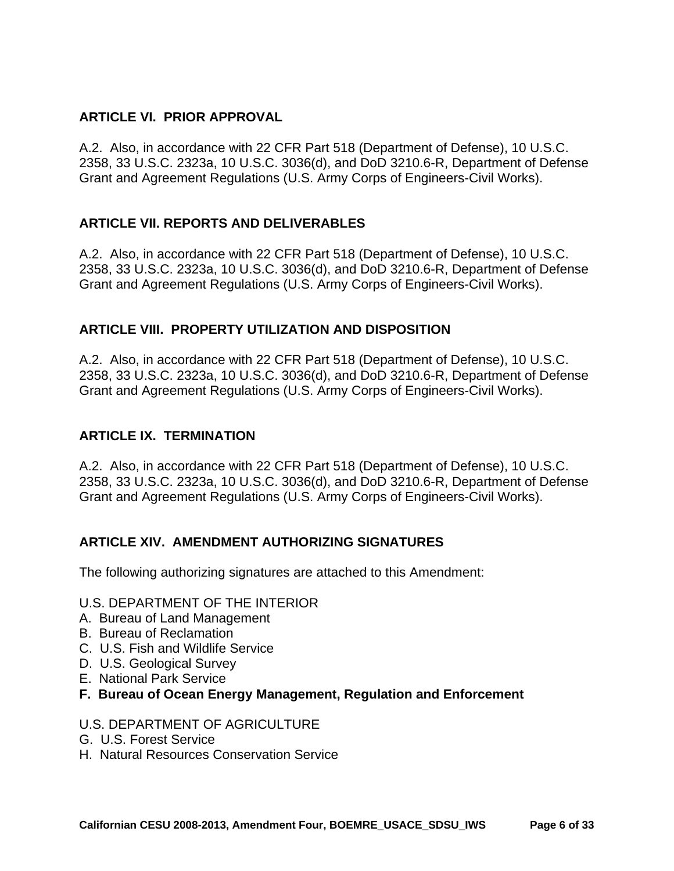# **ARTICLE VI. PRIOR APPROVAL**

A.2. Also, in accordance with 22 CFR Part 518 (Department of Defense), 10 U.S.C. 2358, 33 U.S.C. 2323a, 10 U.S.C. 3036(d), and DoD 3210.6-R, Department of Defense Grant and Agreement Regulations (U.S. Army Corps of Engineers-Civil Works).

# **ARTICLE VII. REPORTS AND DELIVERABLES**

A.2. Also, in accordance with 22 CFR Part 518 (Department of Defense), 10 U.S.C. 2358, 33 U.S.C. 2323a, 10 U.S.C. 3036(d), and DoD 3210.6-R, Department of Defense Grant and Agreement Regulations (U.S. Army Corps of Engineers-Civil Works).

#### **ARTICLE VIII. PROPERTY UTILIZATION AND DISPOSITION**

A.2. Also, in accordance with 22 CFR Part 518 (Department of Defense), 10 U.S.C. 2358, 33 U.S.C. 2323a, 10 U.S.C. 3036(d), and DoD 3210.6-R, Department of Defense Grant and Agreement Regulations (U.S. Army Corps of Engineers-Civil Works).

### **ARTICLE IX. TERMINATION**

A.2. Also, in accordance with 22 CFR Part 518 (Department of Defense), 10 U.S.C. 2358, 33 U.S.C. 2323a, 10 U.S.C. 3036(d), and DoD 3210.6-R, Department of Defense Grant and Agreement Regulations (U.S. Army Corps of Engineers-Civil Works).

#### **ARTICLE XIV. AMENDMENT AUTHORIZING SIGNATURES**

The following authorizing signatures are attached to this Amendment:

#### U.S. DEPARTMENT OF THE INTERIOR

- A. Bureau of Land Management
- B. Bureau of Reclamation
- C. U.S. Fish and Wildlife Service
- D. U.S. Geological Survey
- E. National Park Service
- **F. Bureau of Ocean Energy Management, Regulation and Enforcement**

#### U.S. DEPARTMENT OF AGRICULTURE

- G. U.S. Forest Service
- H. Natural Resources Conservation Service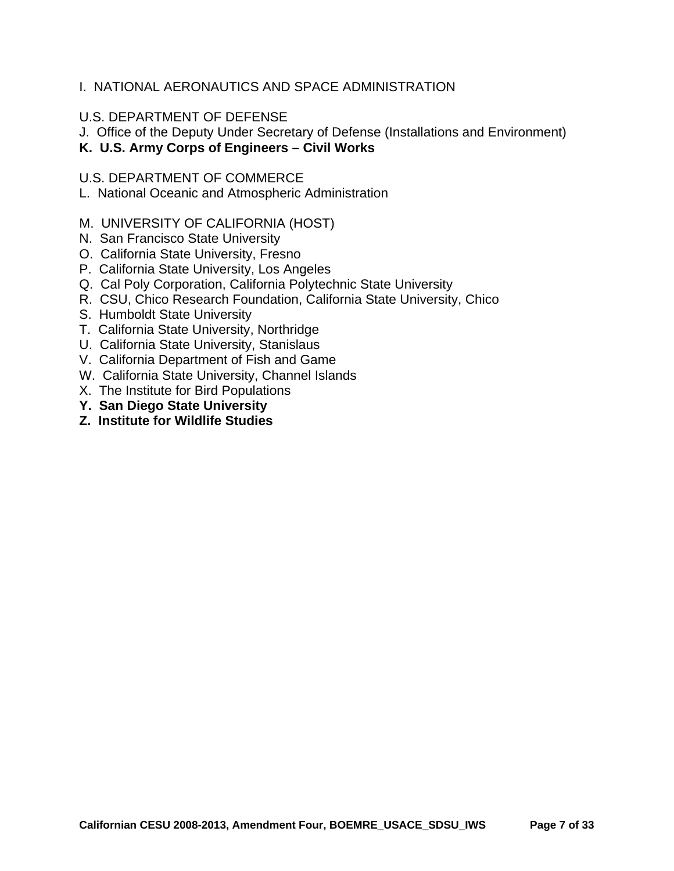### I. NATIONAL AERONAUTICS AND SPACE ADMINISTRATION

#### U.S. DEPARTMENT OF DEFENSE

J. Office of the Deputy Under Secretary of Defense (Installations and Environment)

**K. U.S. Army Corps of Engineers – Civil Works** 

#### U.S. DEPARTMENT OF COMMERCE

L. National Oceanic and Atmospheric Administration

#### M. UNIVERSITY OF CALIFORNIA (HOST)

- N. San Francisco State University
- O. California State University, Fresno
- P. California State University, Los Angeles
- Q. Cal Poly Corporation, California Polytechnic State University
- R. CSU, Chico Research Foundation, California State University, Chico
- S. Humboldt State University
- T. California State University, Northridge
- U. California State University, Stanislaus
- V. California Department of Fish and Game
- W. California State University, Channel Islands
- X. The Institute for Bird Populations
- **Y. San Diego State University**
- **Z. Institute for Wildlife Studies**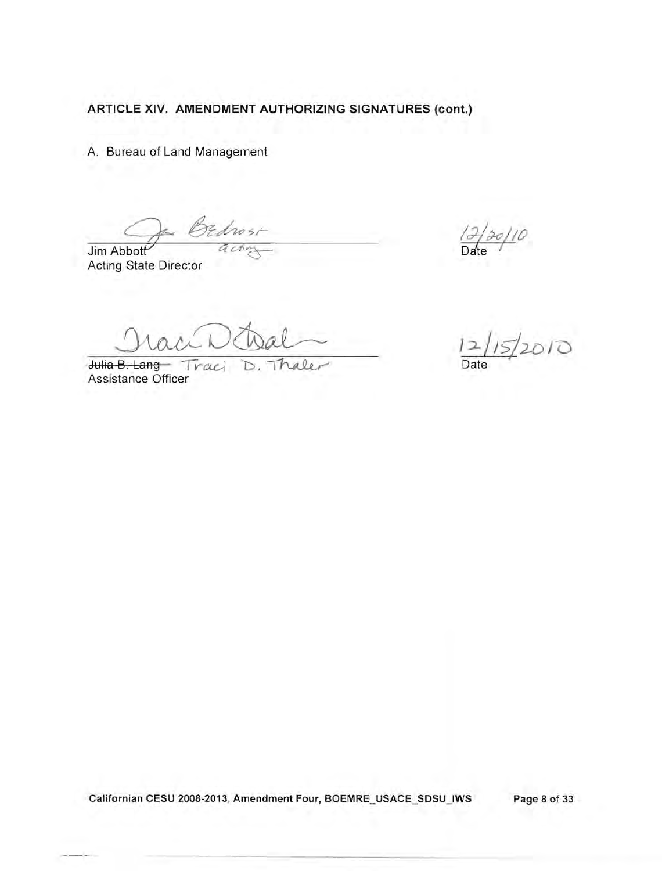A. Bureau of Land Management

drosi A c.t

Jim Abbott Acting State Director

 $\frac{12/15}{2010}$ <br>Julia B. Lang Traci D. Thaler Date

Assistance Officer

 $20/10$  $Da'$ 

Californian CESU 2008-2013, Amendment Four, BOEMRE\_USACE\_SDSU\_IWS Page 8 of 33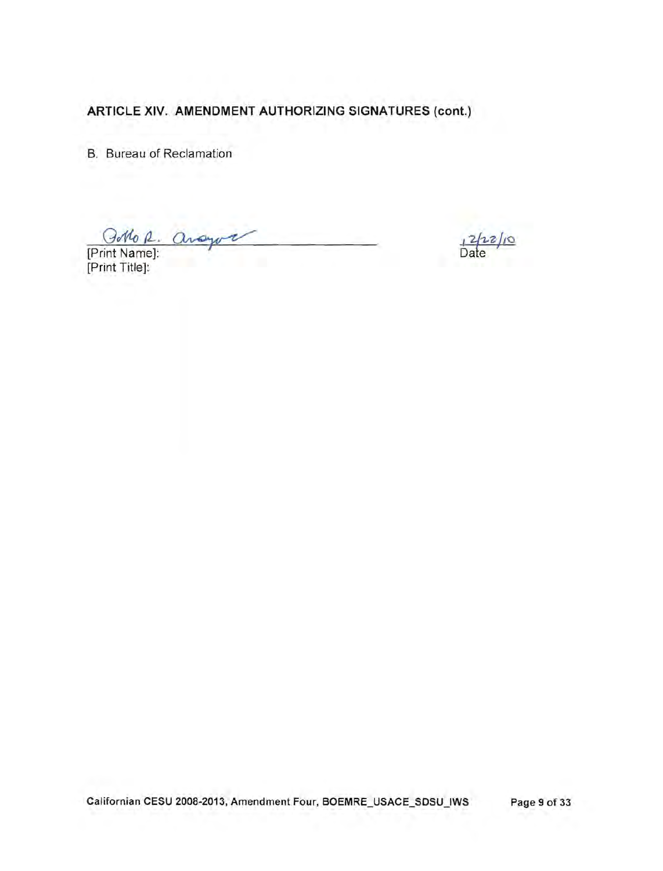B. Bureau of Reclamation

[Print Name]: [Print Title]:

Californian CESU 2008-2013, Amendment Four, BOEMRE\_USACE\_SDSU\_IWS Page 9 of 33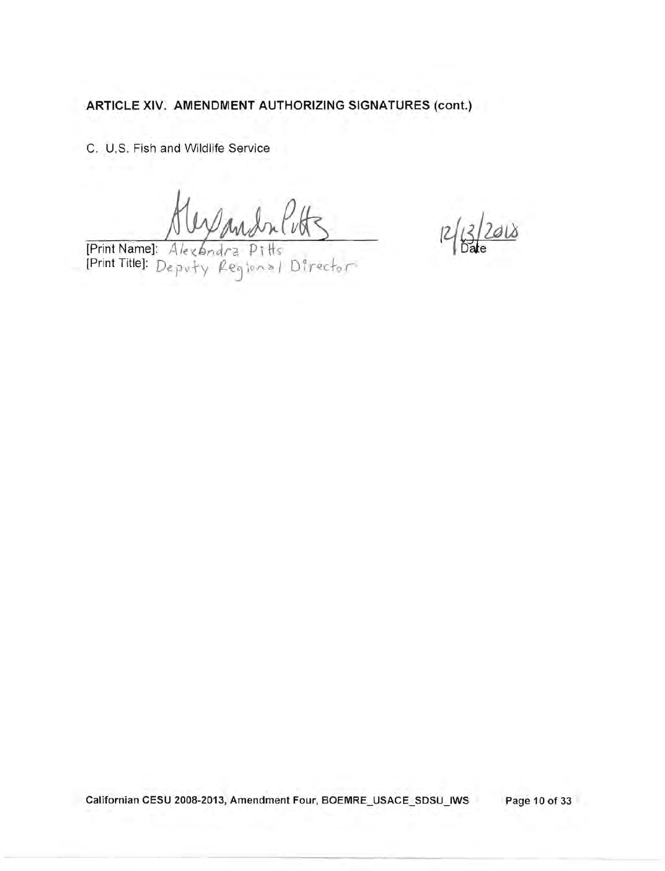C. U.S. Fish and Wildlife Service

Print Name]: Alexandra Pitts<br>[Print Title]: Deputy Regional Director

 $2018$  $l^2$ 

Californian CESU 2008-2013, Amendment Four, BOEMRE\_USACE\_SDSU\_IWS Page 10 of 33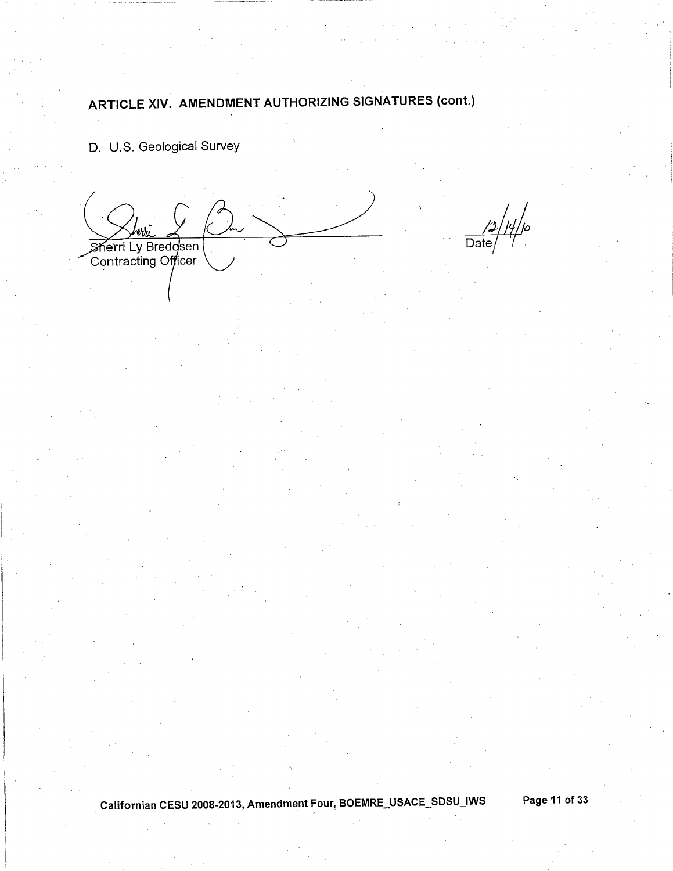D. U.S. Geological Survey

Sherri Ly Bredesen<br>Contracting Officer

Date

Californian CESU 2008-2013, Amendment Four, BOEMRE\_USACE\_SDSU\_IWS

Page 11 of 33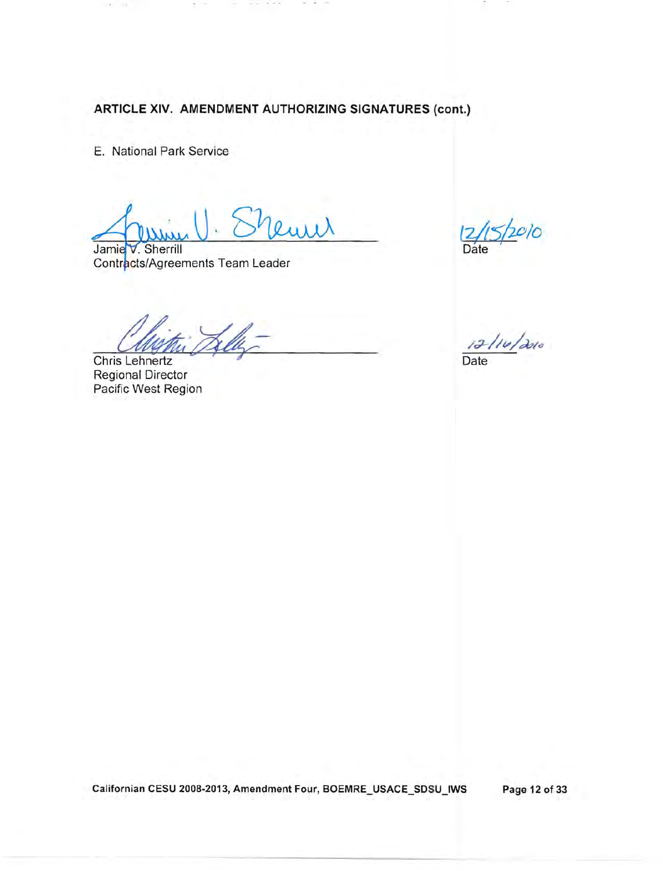E. National Park Service

 $\overline{\mathbb{R}}$ 

 $Sh_{\text{EUL}}$   $\frac{12}{15}$ Jamie V. Sherrill

Contracts/Agreements Team Leader

Chris Lehnertz

Regional Director Pacific West Region

 $\frac{12/10}{\text{Date}}$ 

Californian CESU 2008-2013, Amendment Four, BOEMRE\_USACE\_SDSU\_IWS Page 12 of 33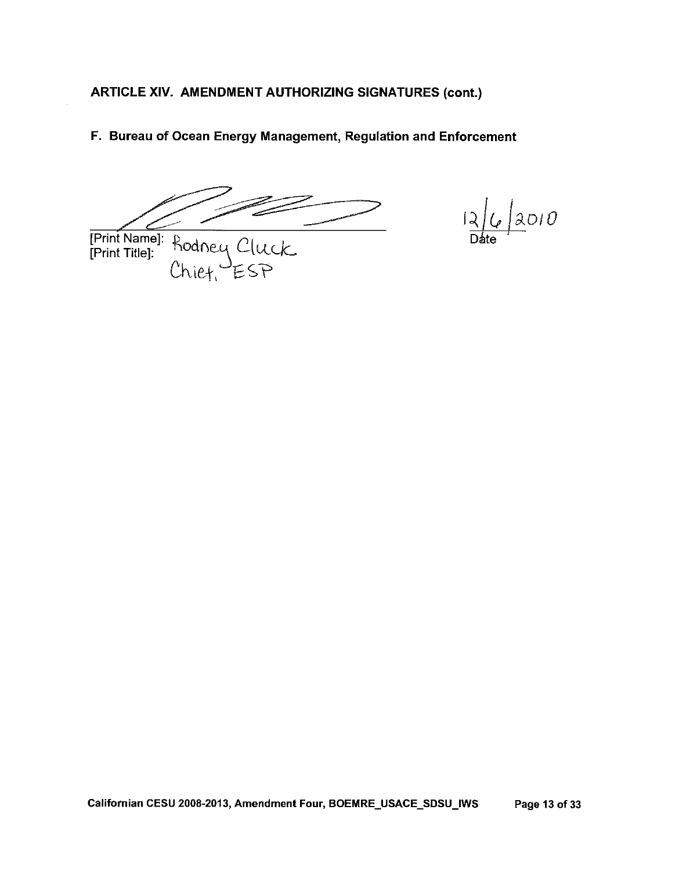F. Bureau of Ocean Energy Management, Regulation and Enforcement

[Print Name]: Rodney Cluck

 $12010$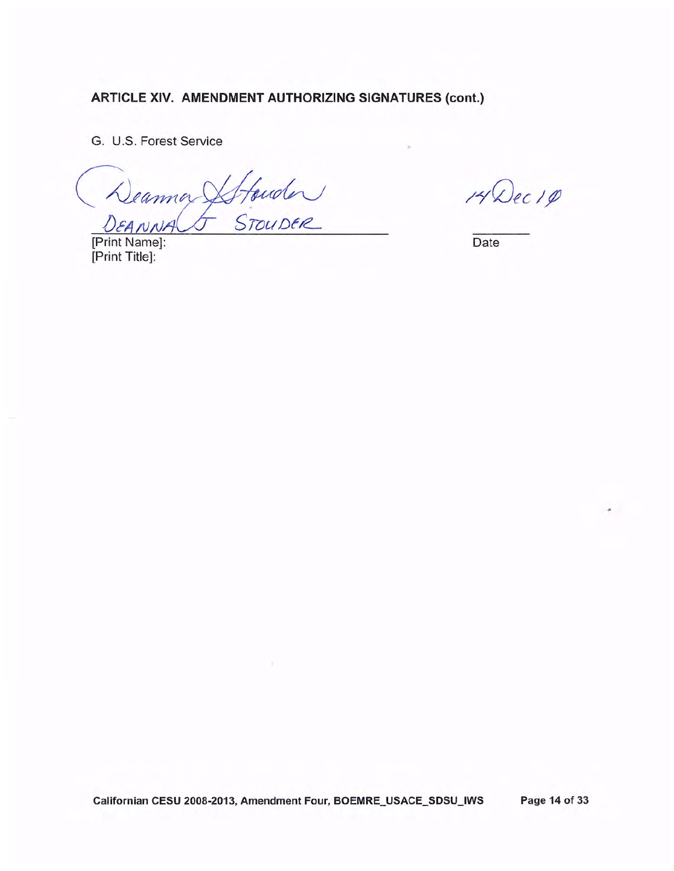G. U.S. Forest Service

Stfouder DEANNA

[Print Name]: [Print Title]:

14 Dec 10

 $\sigma$ 

Date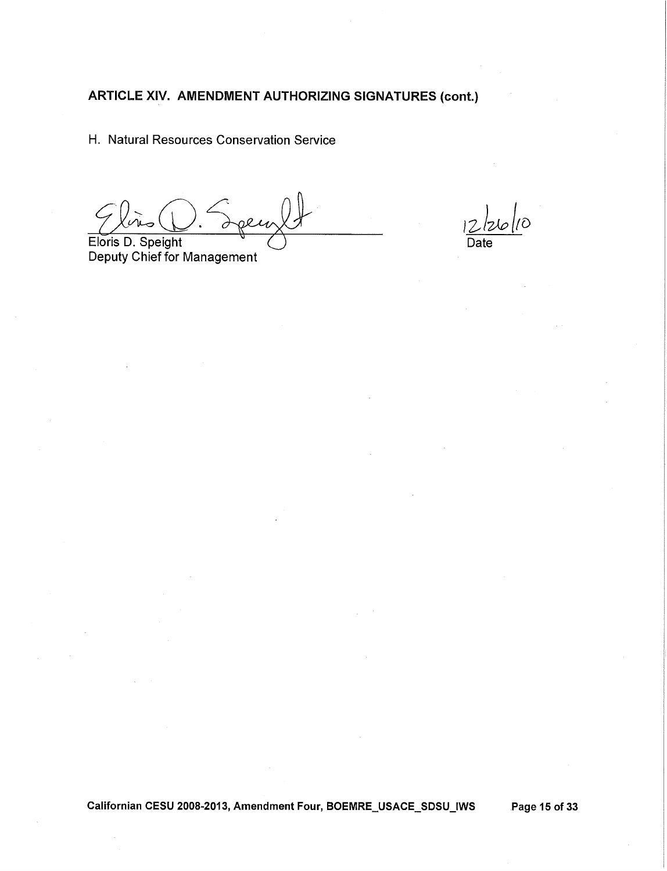H. Natural Resources Conservation Service

Eloris D. Speight

Deputy Chief for Management

 $^{\prime}\mathcal{O}$ 

Californian CESU 2008-2013, Amendment Four, BOEMRE\_USACE\_SDSU\_IWS Page 15 of 33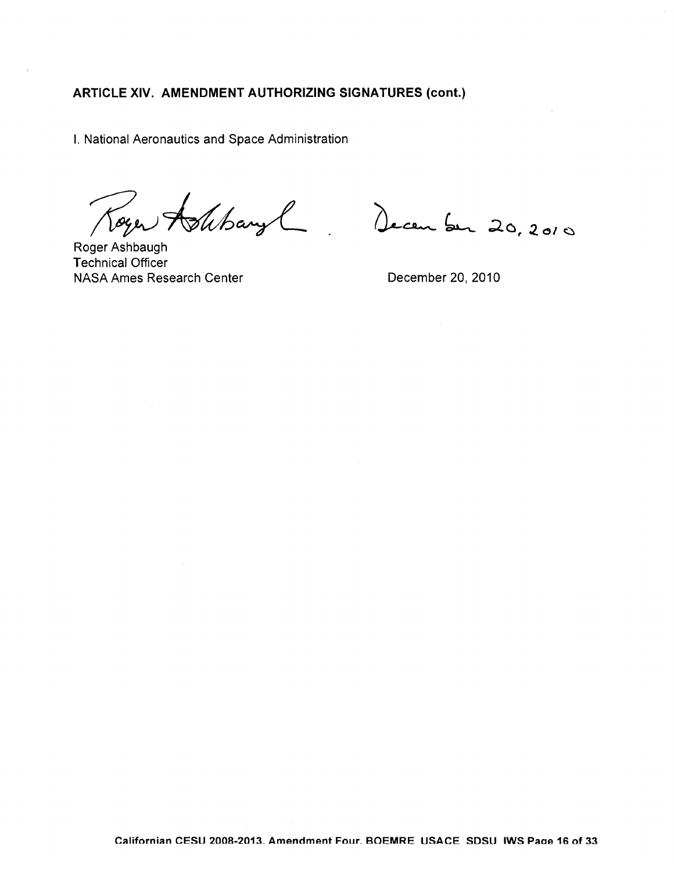I. National Aeronautics and Space Administration

Toyer Ashbaryl December 20, 2010

Roger Ashbaugh **Technical Officer** NASA Ames Research Center

December 20, 2010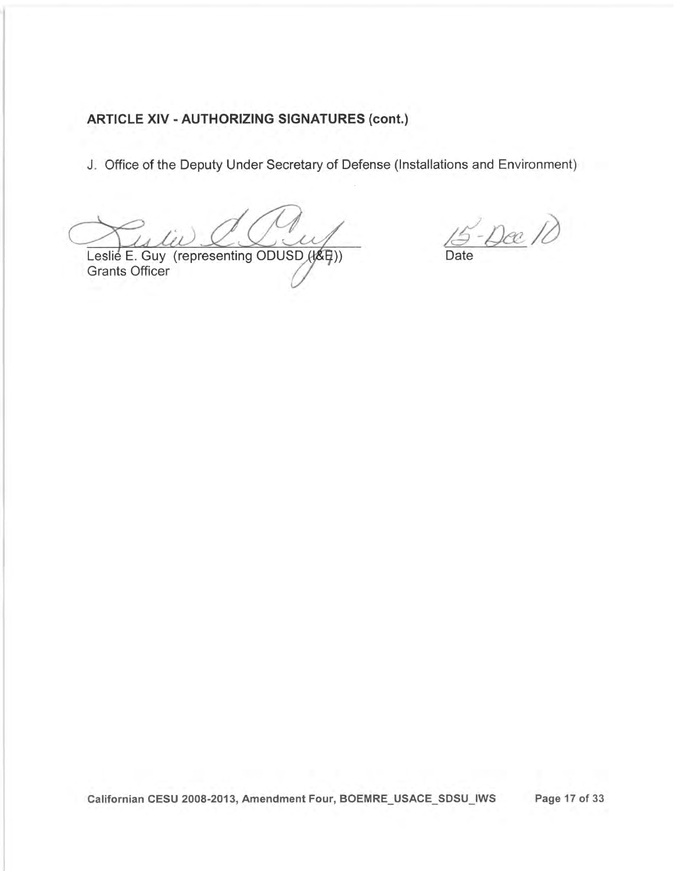# **ARTICLE XIV - AUTHORIZING SIGNATURES (cont.)**

J. Office of the Deputy Under Secretary of Defense (Installations and Environment)

Leslie E. Guy (representing ODUSD (收甲)) Grants Officer

15-Dee 10 Date

Page 17 of 33 Californian CESU 2008-2013, Amendment Four, BOEMRE\_USACE\_SDSU\_IWS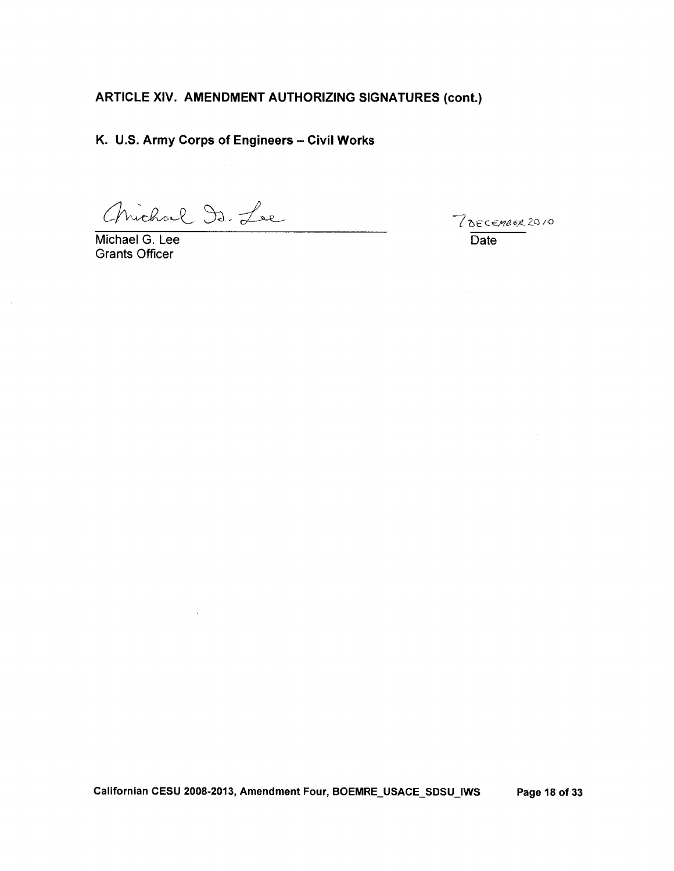K. U.S. Army Corps of Engineers - Civil Works

Chrishal Dr. Lee

Michael G. Lee **Grants Officer** 

7DECEMBER 2010 Date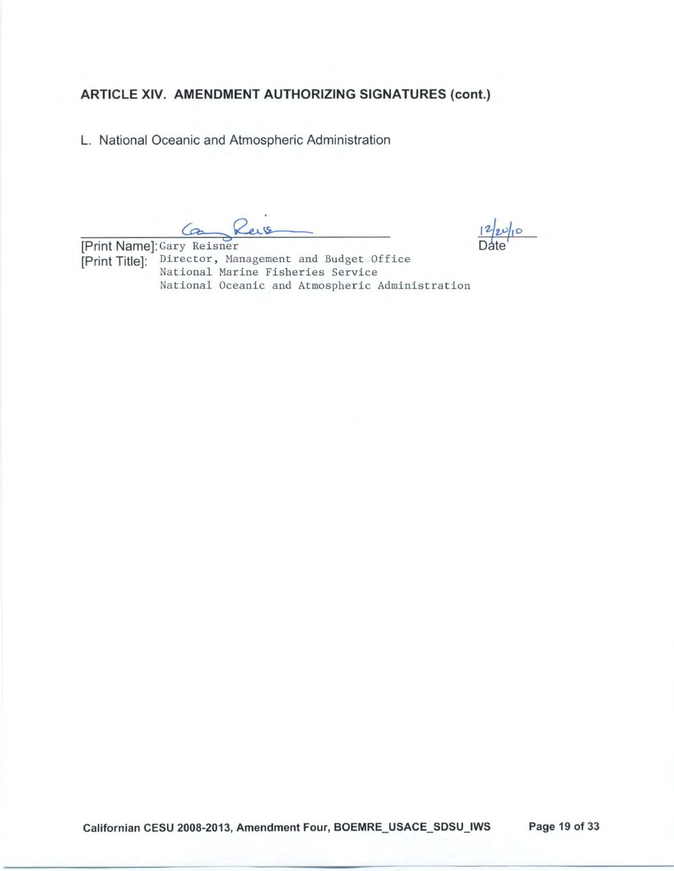L. National Oceanic and Atmospheric Administration

Can Reis

[Print Name]: Gary Reisner [Print Title]: Director, Management and Budget Office National Marine Fisheries Service National Oceanic and Atmospheric Administration

 $12|20|10$ 

Californian CESU 2008-2013, Amendment Four, BOEMRE\_USACE\_SDSU\_IWS Page 19 of 33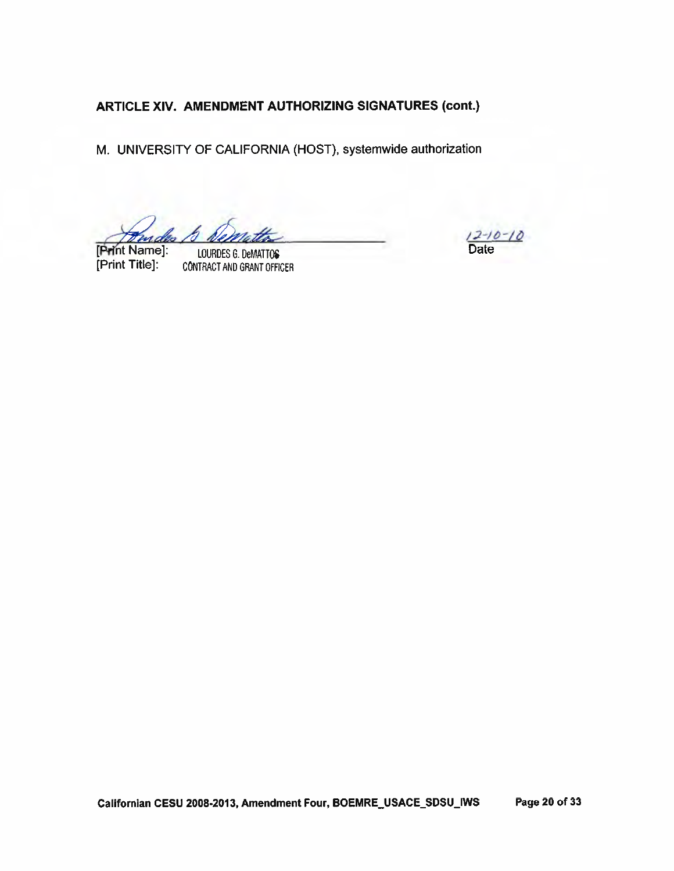M. UNIVERSITY OF CALIFORNIA (HOST), systemwide authorization

[Print Name]: [Print Title]:

LOURDES G. DeMATTOS **CONTRACT AND GRANT OFFICER** 

 $12 - 10 - 10$ **Date**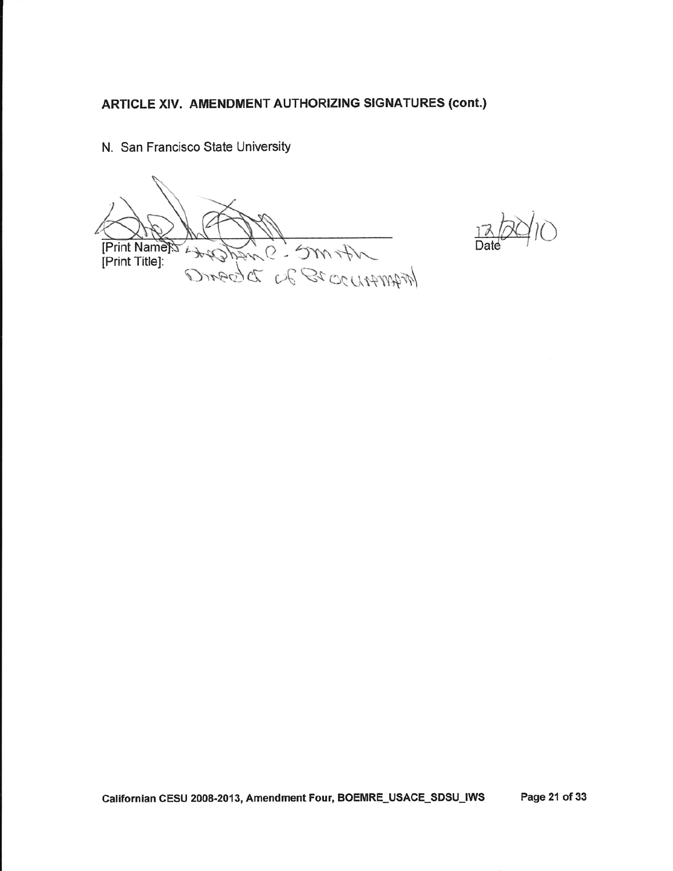N. San Francisco State University

0 - 5\.N\$- MAMAN 20 26 DESAIR [Print Name] [Print Title]:

 $13600$ 

Californian CESU 2008-2013, Amendment Four, BOEMRE\_USACE-SDSU-IWS Page 21 of 33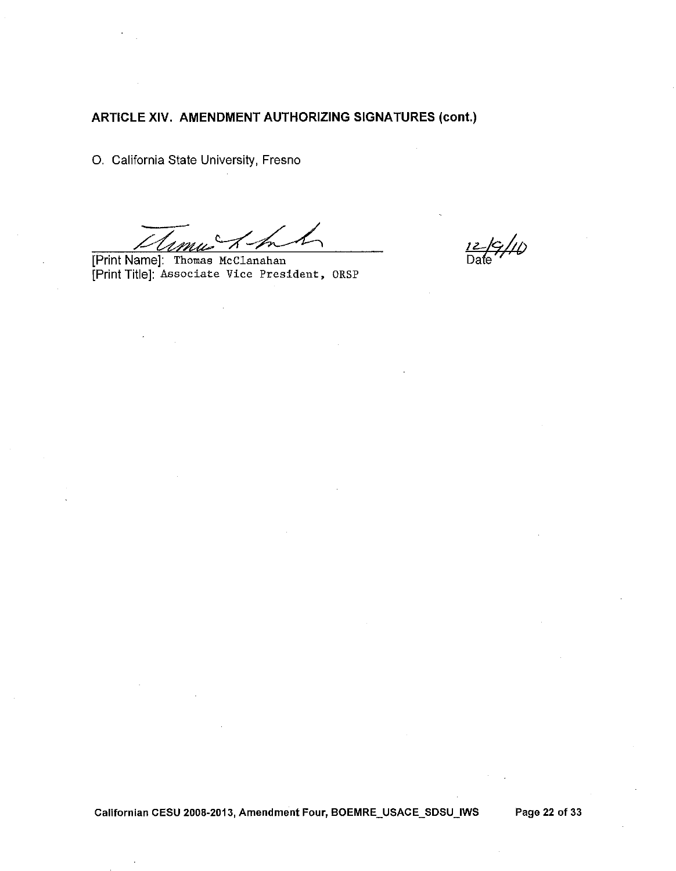O. California State University, Fresno

[Print Name]: Thomas McClanahan [Print Title]: Associate Vice President, ORSP

 $\frac{12}{\text{Date}}$  //()

Californian CESU 2008-2013, Amendment Four, BOEMRE\_USACE\_SDSU\_IWS

Page 22 of 33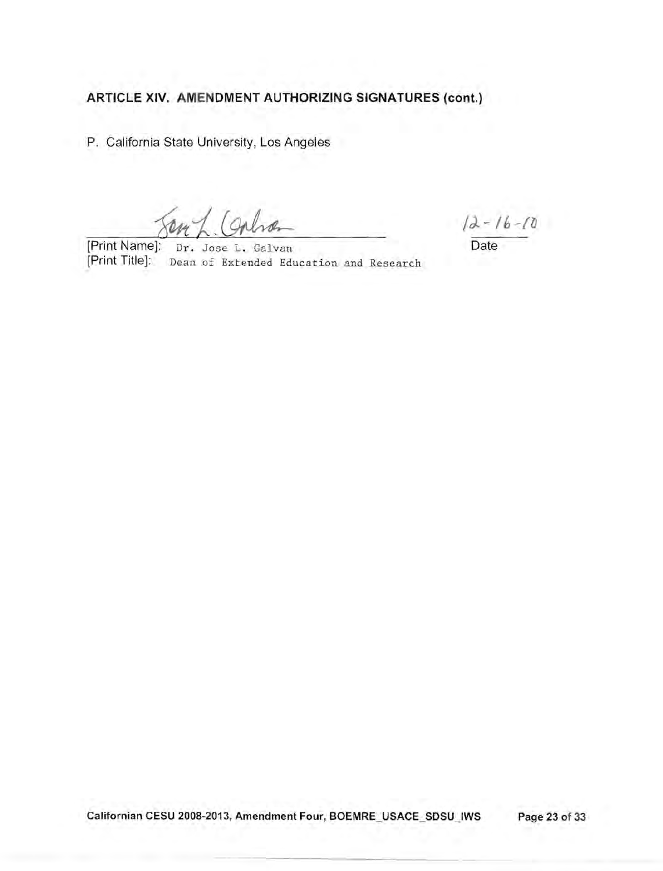P. California State University, Los Angeles

[Print Name]: Dr. Jose L. Galvan Date [Print Title]: Dean of Extended Education and Research

 $12 - 16 - 10$ 

Californian CESU 2008-2013, Amendment Four, BOEMRE\_USACE\_SDSU\_IWS Page 23 of 33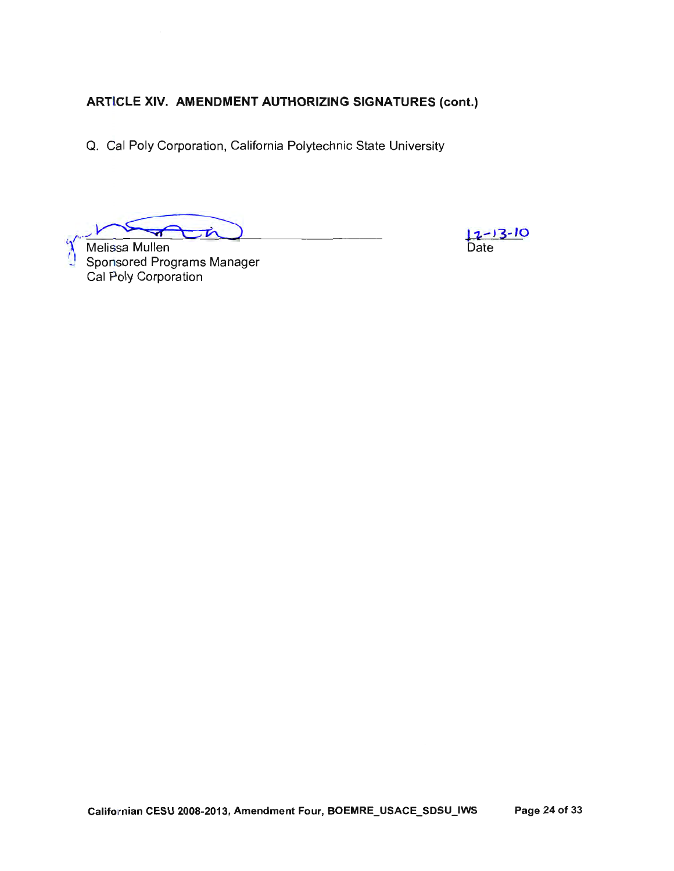Q. Cal Poly Corporation, California Polytechnic State University

- 亡

Melissa Mullen Sportsored Programs Manager<br>Cal Poly Corporation

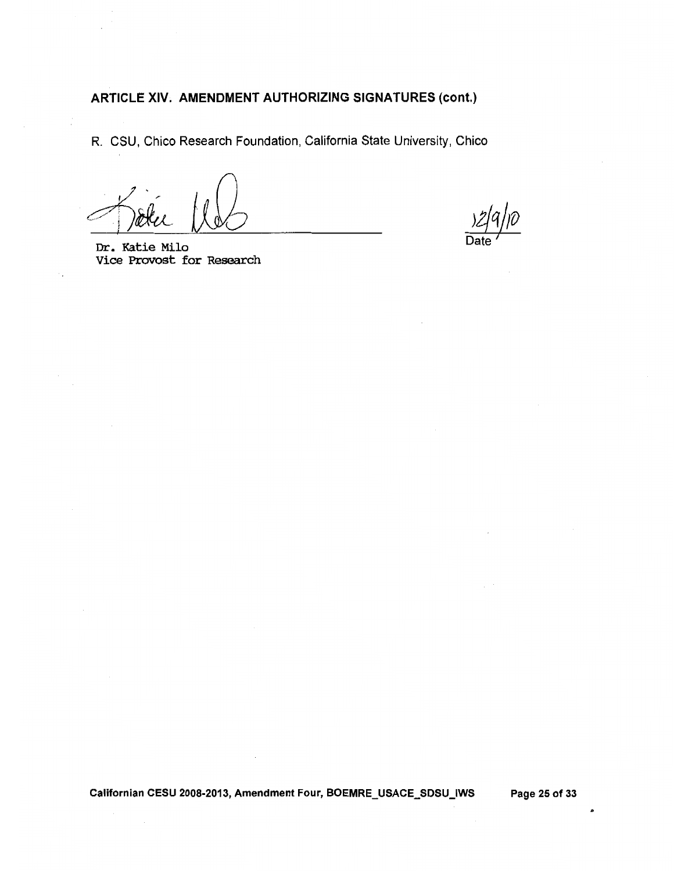R. CSU, Chico Research Foundation, California State University, Chico

Dr. Katie Milo Vice Provost for Research

Californian CESU 2008-2013, Amendment Four, BOEMRE\_USACE\_SDSU\_IWS Page 25 of 33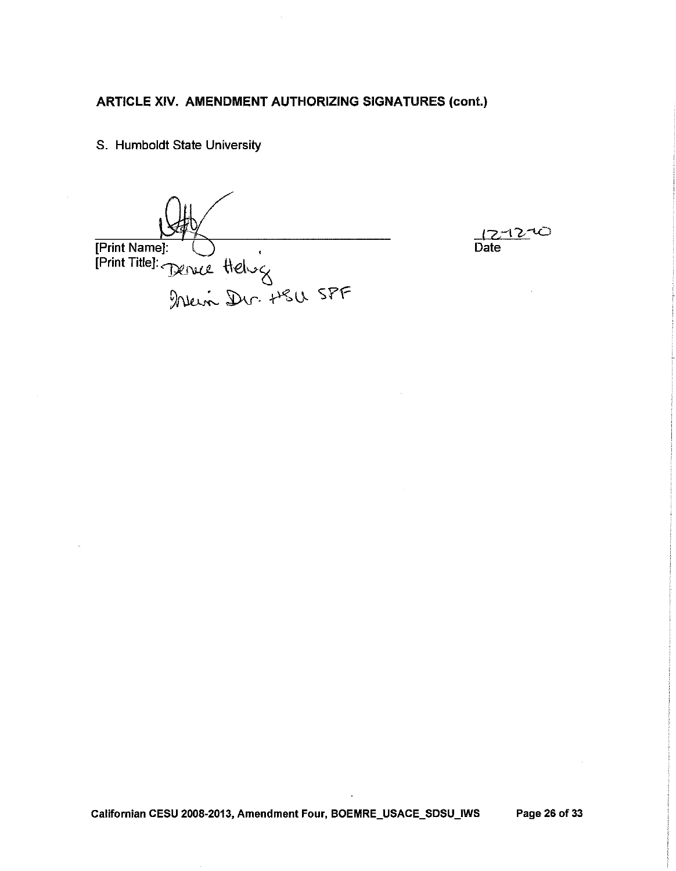S. Humboldt State University

Benue Helvez<br>Denue Helvez<br>Denis Dur HSU SPF [Print Name]: [Print Title]:

حت -1 2 Date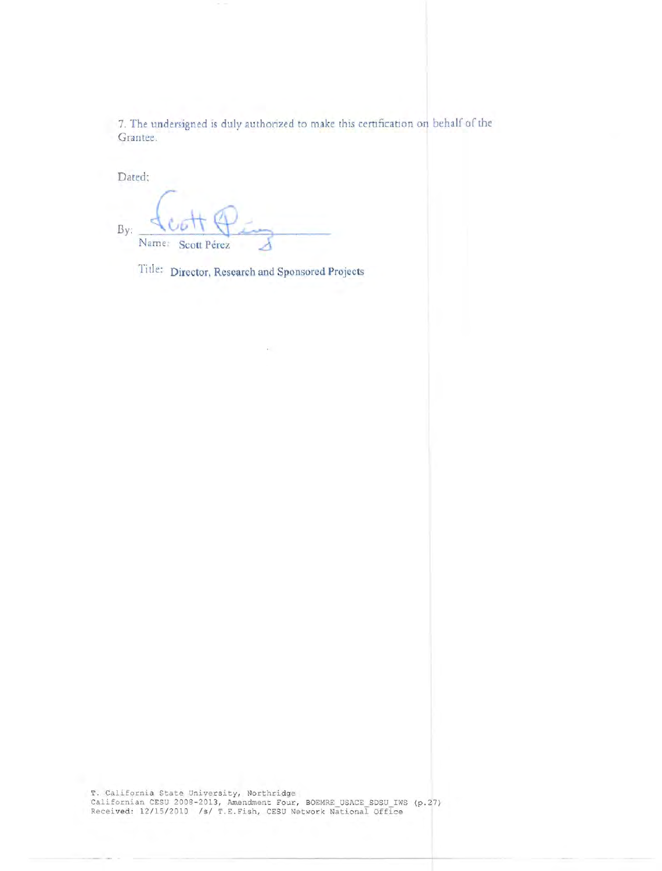7. The undersigned is duly authorized to make this certification on behalf of the Grantee.

Dated;

By: Name Scott Pérez

Title: Director, Research and Sponsored Projects

T. California State University, Northridge<br>Californian CESU 2008-2013, Amendment Four, BOEMRE USACE SDSU IWS (p.27)<br>Received: 12/15/2010 /s/ T.E.Fish, CESU Network National Office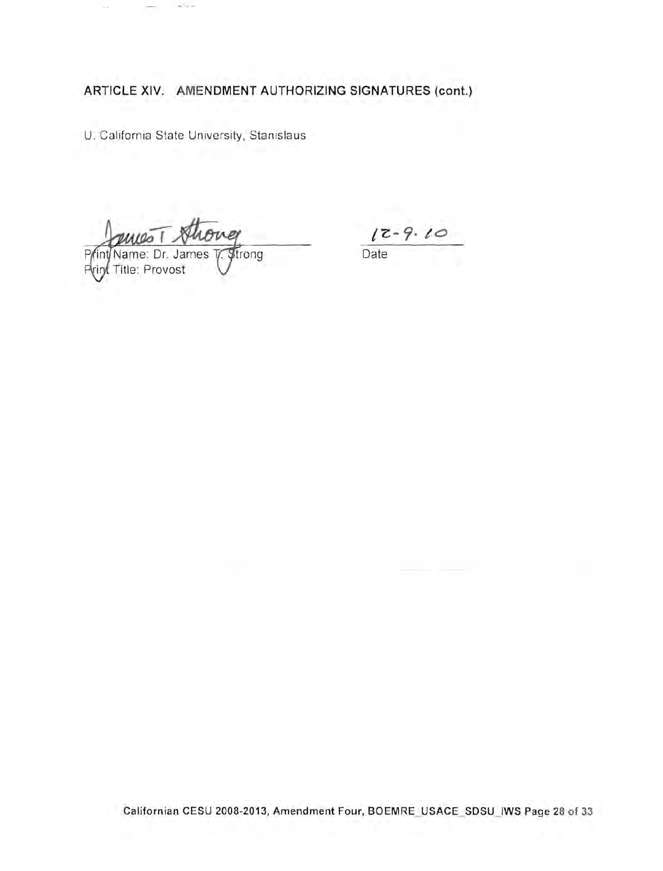U. California State University, Stanislaus

 $12 - 9.10$ 

Date

Title: Provost Р

Californian CESU 2008-2013, Amendment Four, BOEMRE\_USACE\_SDSU\_IWS Page 28 of 33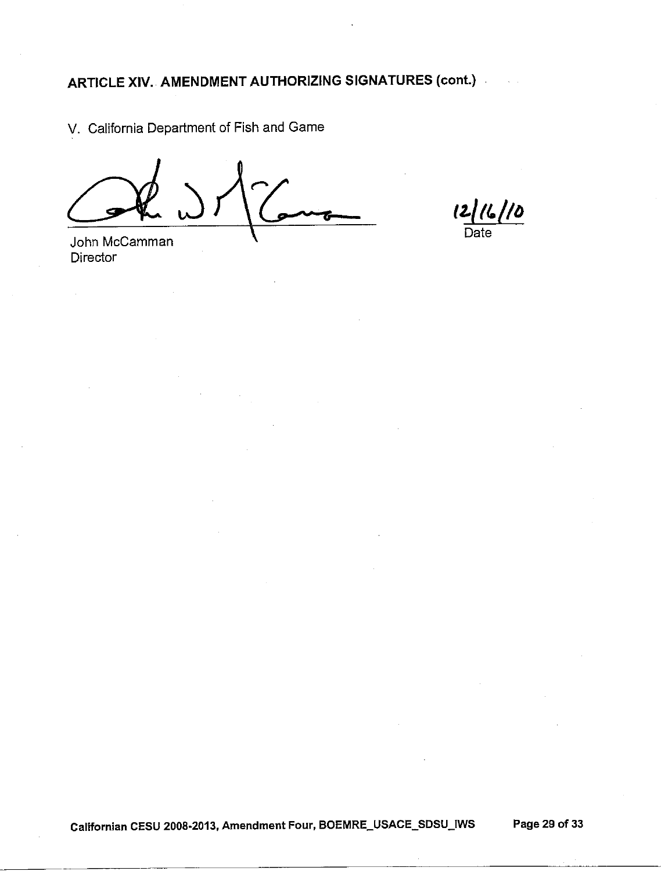V. California Department of Fish and Game

12/16/10 Date

John McCamman **Director** 

Californian CESU 2008-2013, Amendment Four, BOEMRE\_USACE\_SDSU\_IWS Page 29 of 33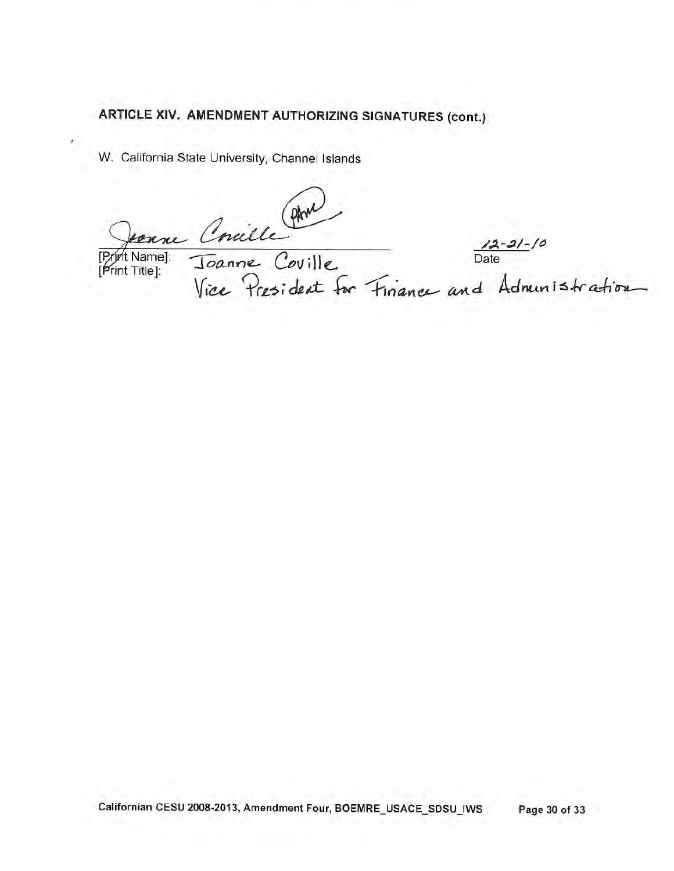W. California State University, Channel Islands

Venue Concille AM<br>Namel: Joanne Coville Date<br>Title]: Vice President for Finance and Administration

[Print Name]: Print Title]: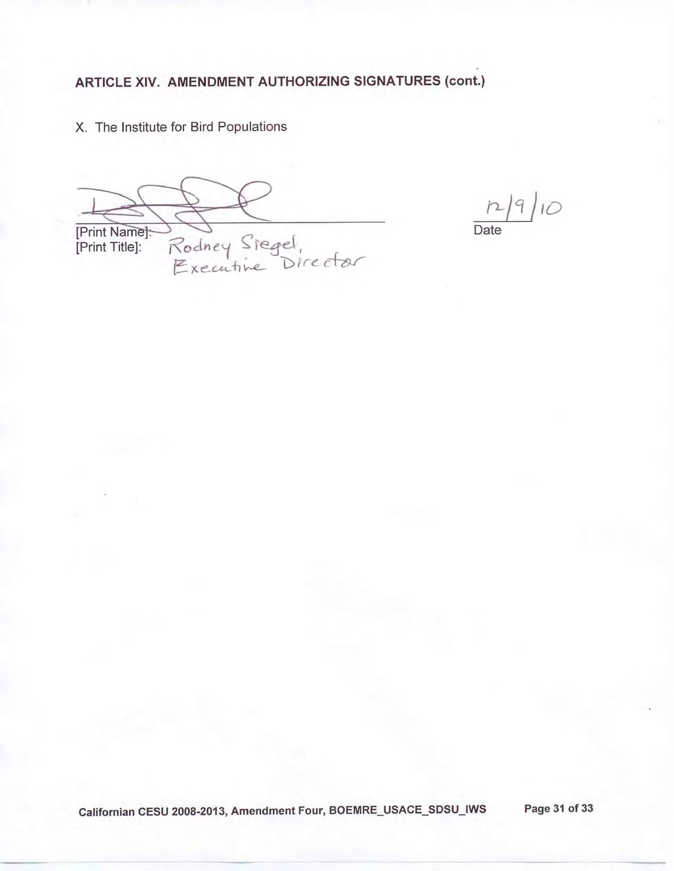X. The Institute for Bird Populations

[Print Name]:-<br>[Print Title]: Rodney Siegel,<br>Executive Director

 $129/10$ Date

Californian CESU 2008-2013, Amendment Four, BOEMRE\_USACE\_SDSU\_IWS Page 31 of 33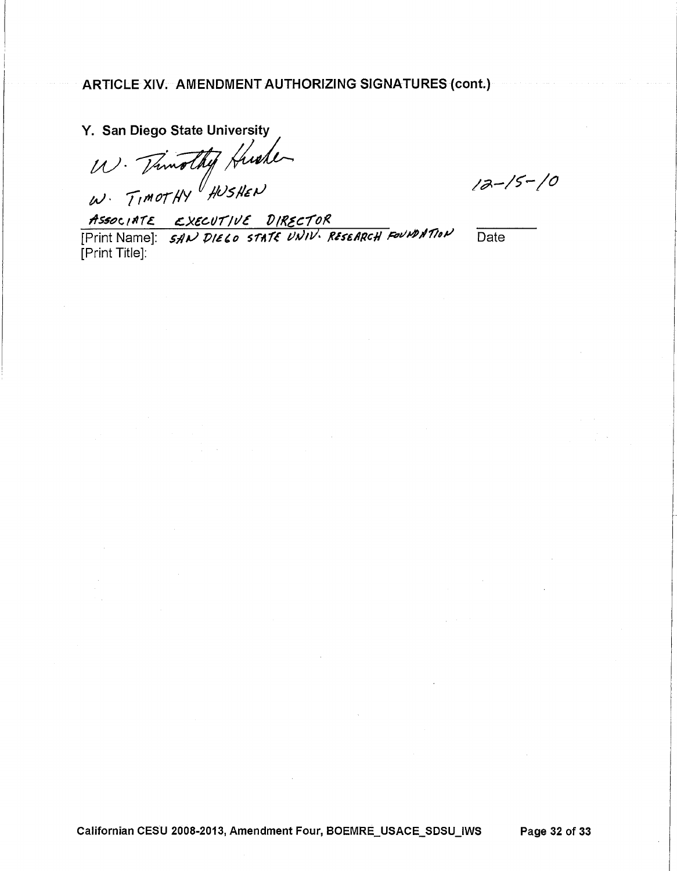Y. San Diego State University

W. Timothy Huster

 $12-15-10$ 

ASSOCIATE EXECUTIVE DIRECTOR<br>[Print Name]: SAN DIELO STATE UNIV. RESEARCH FOUNDATION [Print Title]:

Date